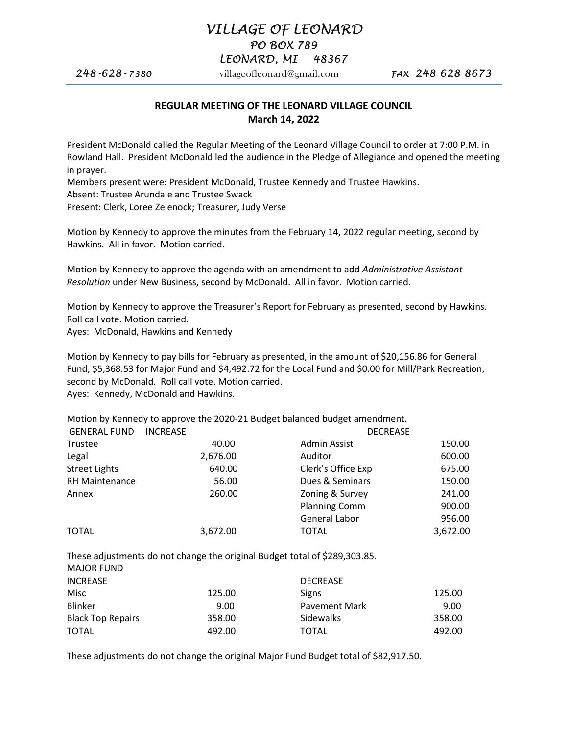# VILLAGE OF LEONARD

PO BOX 789

## LEONARD, MI 48367

**248-628-7380** villageofleonard@gmail.com **FAX 248 628 8673** 

## REGULAR MEETING OF THE LEONARD VILLAGE COUNCIL March 14, 2022

President McDonald called the Regular Meeting of the Leonard Village Council to order at 7:00 P.M. in Rowland Hall. President McDonald led the audience in the Pledge of Allegiance and opened the meeting in prayer.

Members present were: President McDonald, Trustee Kennedy and Trustee Hawkins. Absent: Trustee Arundale and Trustee Swack Present: Clerk, Loree Zelenock; Treasurer, Judy Verse

Motion by Kennedy to approve the minutes from the February 14, 2022 regular meeting, second by Hawkins. All in favor. Motion carried.

Motion by Kennedy to approve the agenda with an amendment to add Administrative Assistant Resolution under New Business, second by McDonald. All in favor. Motion carried.

Motion by Kennedy to approve the Treasurer's Report for February as presented, second by Hawkins. Roll call vote. Motion carried.

Ayes: McDonald, Hawkins and Kennedy

Motion by Kennedy to pay bills for February as presented, in the amount of \$20,156.86 for General Fund, \$5,368.53 for Major Fund and \$4,492.72 for the Local Fund and \$0.00 for Mill/Park Recreation, second by McDonald. Roll call vote. Motion carried. Ayes: Kennedy, McDonald and Hawkins.

Motion by Kennedy to approve the 2020-21 Budget balanced budget amendment.

| <b>GENERAL FUND</b>   | <b>INCREASE</b> |                      | <b>DECREASE</b> |
|-----------------------|-----------------|----------------------|-----------------|
| Trustee               | 40.00           | Admin Assist         | 150.00          |
| Legal                 | 2,676.00        | Auditor              | 600.00          |
| <b>Street Lights</b>  | 640.00          | Clerk's Office Exp   | 675.00          |
| <b>RH Maintenance</b> | 56.00           | Dues & Seminars      | 150.00          |
| Annex                 | 260.00          | Zoning & Survey      | 241.00          |
|                       |                 | <b>Planning Comm</b> | 900.00          |
|                       |                 | General Labor        | 956.00          |
| <b>TOTAL</b>          | 3,672.00        | <b>TOTAL</b>         | 3,672.00        |

These adjustments do not change the original Budget total of \$289,303.85. MAAJOR FUIND

| <b>INCREASE</b><br><b>DECREASE</b><br>125.00<br>Misc<br>Signs |        |
|---------------------------------------------------------------|--------|
|                                                               |        |
|                                                               | 125.00 |
| <b>Blinker</b><br><b>Pavement Mark</b><br>9.00                | 9.00   |
| <b>Black Top Repairs</b><br>Sidewalks<br>358.00               | 358.00 |
| <b>TOTAL</b><br>492.00<br><b>TOTAL</b>                        | 492.00 |

These adjustments do not change the original Major Fund Budget total of \$82,917.50.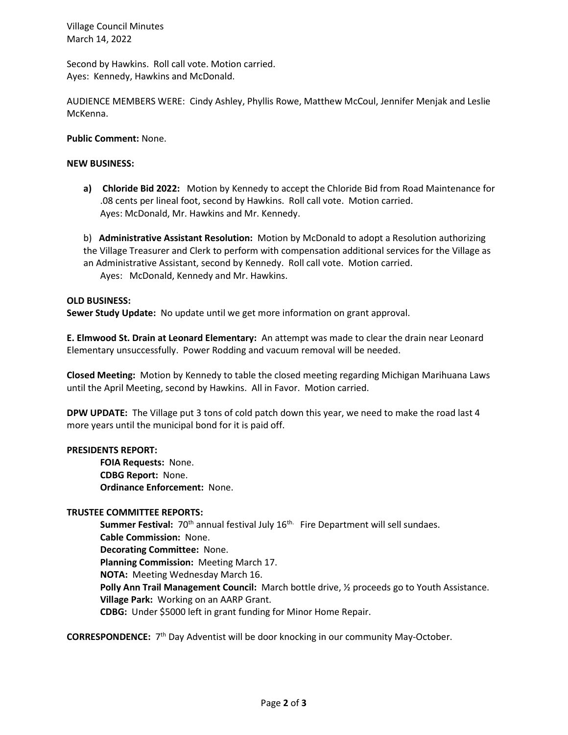Village Council Minutes March 14, 2022

Second by Hawkins. Roll call vote. Motion carried. Ayes: Kennedy, Hawkins and McDonald.

AUDIENCE MEMBERS WERE: Cindy Ashley, Phyllis Rowe, Matthew McCoul, Jennifer Menjak and Leslie McKenna.

Public Comment: None.

#### NEW BUSINESS:

a) Chloride Bid 2022: Motion by Kennedy to accept the Chloride Bid from Road Maintenance for .08 cents per lineal foot, second by Hawkins. Roll call vote. Motion carried. Ayes: McDonald, Mr. Hawkins and Mr. Kennedy.

b) **Administrative Assistant Resolution:** Motion by McDonald to adopt a Resolution authorizing the Village Treasurer and Clerk to perform with compensation additional services for the Village as an Administrative Assistant, second by Kennedy. Roll call vote. Motion carried. Ayes: McDonald, Kennedy and Mr. Hawkins.

#### OLD BUSINESS:

Sewer Study Update: No update until we get more information on grant approval.

E. Elmwood St. Drain at Leonard Elementary: An attempt was made to clear the drain near Leonard Elementary unsuccessfully. Power Rodding and vacuum removal will be needed.

Closed Meeting: Motion by Kennedy to table the closed meeting regarding Michigan Marihuana Laws until the April Meeting, second by Hawkins. All in Favor. Motion carried.

DPW UPDATE: The Village put 3 tons of cold patch down this year, we need to make the road last 4 more years until the municipal bond for it is paid off.

#### PRESIDENTS REPORT:

 FOIA Requests: None. CDBG Report: None. Ordinance Enforcement: None.

### TRUSTEE COMMITTEE REPORTS:

**Summer Festival:** 70<sup>th</sup> annual festival July  $16<sup>th</sup>$ . Fire Department will sell sundaes. Cable Commission: None. Decorating Committee: None. Planning Commission: Meeting March 17. NOTA: Meeting Wednesday March 16. Polly Ann Trail Management Council: March bottle drive,  $\frac{1}{2}$  proceeds go to Youth Assistance. Village Park: Working on an AARP Grant. CDBG: Under \$5000 left in grant funding for Minor Home Repair.

CORRESPONDENCE: 7<sup>th</sup> Day Adventist will be door knocking in our community May-October.